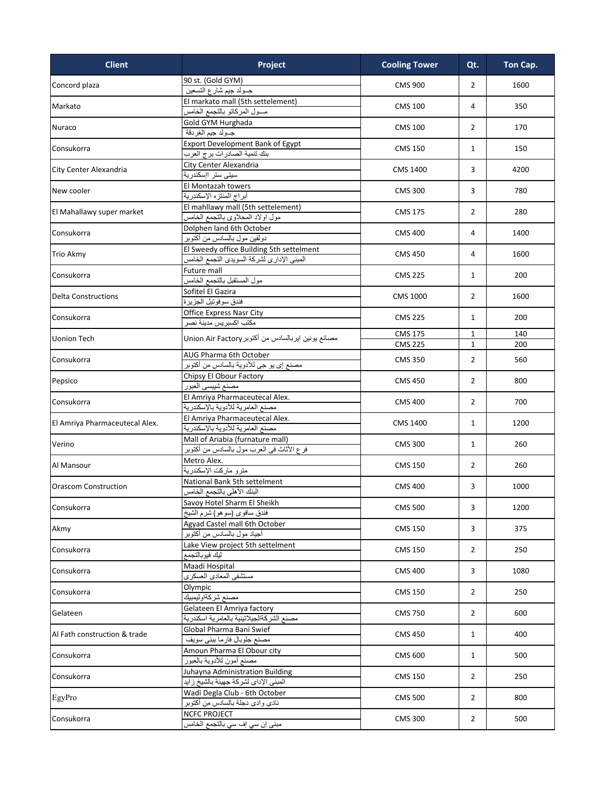| <b>Client</b>                  | Project                                            | <b>Cooling Tower</b> | Qt.            | Ton Cap. |
|--------------------------------|----------------------------------------------------|----------------------|----------------|----------|
| Concord plaza                  | 90 st. (Gold GYM)<br>جــولد جيم شارع التسعين       | <b>CMS 900</b>       | $\overline{2}$ | 1600     |
| Markato                        | El markato mall (5th settelement)                  |                      |                | 350      |
|                                | مسول المركاتو بالتجمع الخامس                       | <b>CMS 100</b>       | 4              |          |
|                                | Gold GYM Hurghada                                  |                      |                |          |
| Nuraco                         | جـولد جيم الغردقة                                  | <b>CMS 100</b>       | $\overline{2}$ | 170      |
|                                | Export Development Bank of Egypt                   |                      |                | 150      |
| Consukorra                     | بنك تنمية الصادرات برج العرب                       | <b>CMS 150</b>       | $\mathbf{1}$   |          |
|                                | City Center Alexandria                             |                      |                |          |
| City Center Alexandria         | سيتى ستر اإسكندرية                                 | <b>CMS 1400</b>      | 3              | 4200     |
| New cooler                     | El Montazah towers                                 | <b>CMS 300</b>       | 3              |          |
|                                | أبراج المنتزه الإسكندرية                           |                      |                | 780      |
| El Mahallawy super market      | El mahllawy mall (5th settelement)                 | <b>CMS 175</b>       | $\overline{2}$ | 280      |
|                                | مول اولاد المحلاوي بالتجمع الخامس                  |                      |                |          |
| Consukorra                     | Dolphen land 6th October                           | <b>CMS 400</b>       | 4              | 1400     |
|                                | دولفين مول بالسادس من أكتوبر                       |                      |                |          |
| <b>Trio Akmy</b>               | El Sweedy office Building 5th settelment           | <b>CMS 450</b>       | 4              | 1600     |
|                                | المبنى الإداري لشركة السويدي النجمع الخامس         |                      |                |          |
| Consukorra                     | Future mall                                        | <b>CMS 225</b>       | $\mathbf{1}$   | 200      |
|                                | مول المستقبل بالتجمع الخامس                        |                      |                |          |
| <b>Delta Constructions</b>     | Sofitel El Gazira                                  | <b>CMS 1000</b>      | 2              | 1600     |
|                                | فندق سوفونيل الجزيرة                               |                      |                |          |
| Consukorra                     | Office Express Nasr City<br>مكتب اكسبريس مدينة نصر | <b>CMS 225</b>       | $\mathbf{1}$   | 200      |
|                                |                                                    | <b>CMS 175</b>       | $\mathbf{1}$   | 140      |
| <b>Uonion Tech</b>             | مصانع يونين ايربالسادس من أكتوبر Union Air Factory | <b>CMS 225</b>       | $\mathbf{1}$   | 200      |
|                                | AUG Pharma 6th October                             |                      |                |          |
| Consukorra                     | مصنع إي يو جي للأدوية بالسادس من أكتوبر            | <b>CMS 350</b>       | $\overline{2}$ | 560      |
|                                | Chipsy El Obour Factory                            |                      | $\overline{2}$ | 800      |
| Pepsico                        | مصنع شيبسي العبور                                  | <b>CMS 450</b>       |                |          |
|                                | El Amriya Pharmaceutecal Alex.                     |                      |                |          |
| Consukorra                     | مصنع العامرية للأدوية بالإسكندرية                  | <b>CMS 400</b>       | $\overline{2}$ | 700      |
|                                | El Amriya Pharmaceutecal Alex.                     |                      |                |          |
| El Amriya Pharmaceutecal Alex. | مصنع العامرية للأدوية بالإسكندرية                  | <b>CMS 1400</b>      | $\mathbf{1}$   | 1200     |
|                                | Mall of Ariabia (furnature mall)                   |                      | $\mathbf{1}$   | 260      |
| Verino                         | فرع الأثاث في العرب مول بالسادس من أكتوبر          | <b>CMS 300</b>       |                |          |
|                                | Metro Alex.                                        |                      | $\overline{2}$ | 260      |
| Al Mansour                     | مترو ماركت الإسكندرية                              | <b>CMS 150</b>       |                |          |
| <b>Orascom Construction</b>    | National Bank 5th settelment                       | <b>CMS 400</b>       | 3              | 1000     |
|                                | البنك الأهلي بالتجمع الخامس                        |                      |                |          |
| Consukorra                     | Savoy Hotel Sharm El Sheikh                        | <b>CMS 500</b>       | 3              | 1200     |
|                                | فندق سافوي (سوهو) شرم الشيخ                        |                      |                |          |
| Akmy                           | Agyad Castel mall 6th October                      | <b>CMS 150</b>       | 3              | 375      |
|                                | أجياد مول بالسادس من أكتوبر                        |                      |                |          |
| Consukorra                     | Lake View project 5th settelment                   | <b>CMS 150</b>       | $\overline{2}$ | 250      |
|                                | ليك فيوبالتجمع                                     |                      |                |          |
| Consukorra                     | Maadi Hospital<br>مستشفى المعادي العسكري           | <b>CMS 400</b>       | 3              | 1080     |
|                                | Olympic                                            |                      |                |          |
| Consukorra                     | مصنع شركةاوليمبيك                                  | <b>CMS 150</b>       | $\overline{2}$ | 250      |
|                                | Gelateen El Amriya factory                         |                      |                |          |
| Gelateen                       | مصنع الشركةالجيلاتينية بالعامرية اسكندرية          | <b>CMS 750</b>       | $\overline{2}$ | 600      |
|                                | Global Pharma Bani Swief                           |                      |                |          |
| Al Fath construction & trade   | مصنع جلوبال فارما ببني سويف                        | <b>CMS 450</b>       | $\mathbf{1}$   | 400      |
| Consukorra                     | Amoun Pharma El Obour city                         |                      |                |          |
|                                | مصنع أمون للأدوية بالعبور                          | <b>CMS 600</b>       | $\mathbf{1}$   | 500      |
|                                | Juhayna Administration Building                    |                      |                |          |
| Consukorra                     | المبنى الإداي لشركة جهينة بالشيخ زايد              | <b>CMS 150</b>       | $\overline{2}$ | 250      |
|                                | Wadi Degla Club - 6th October                      |                      |                |          |
| EgyPro                         | نادي وادي دجلة بالسادس من أكتوبر                   | <b>CMS 500</b>       | $\overline{2}$ | 800      |
| Consukorra                     | <b>NCFC PROJECT</b>                                | <b>CMS 300</b>       | $\overline{2}$ | 500      |
|                                | مبنى إن سي إف سي بالتجمع الخامس                    |                      |                |          |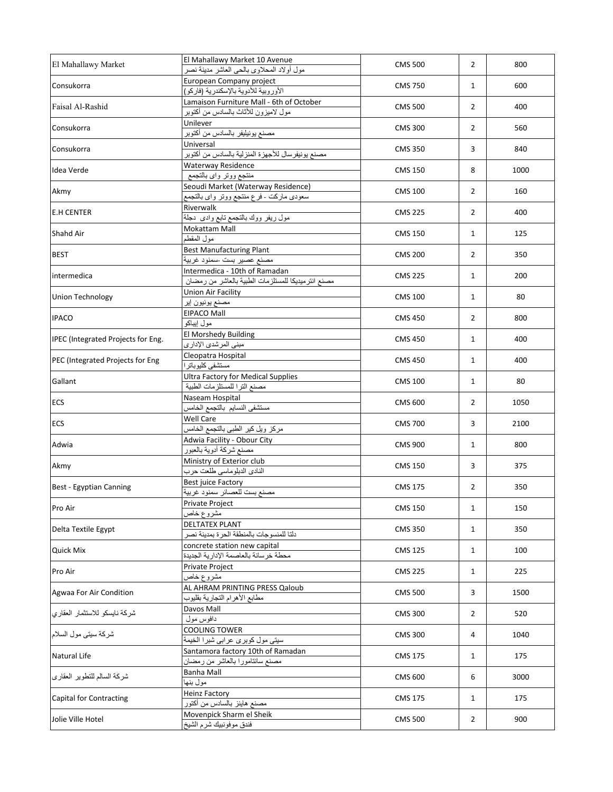| El Mahallawy Market                | El Mahallawy Market 10 Avenue                                                    | <b>CMS 500</b> | 2              | 800  |
|------------------------------------|----------------------------------------------------------------------------------|----------------|----------------|------|
|                                    | مول أولاد المحلاوي بالحي العاشر مدينة نصر                                        |                |                |      |
| Consukorra                         | European Company project<br>الأوروبية للأدوية بالإسكندرية (فاركو)                | <b>CMS 750</b> | $\mathbf{1}$   | 600  |
| Faisal Al-Rashid                   | Lamaison Furniture Mall - 6th of October<br>مول لاميزون للأثاث بالسادس من أكنوبر | <b>CMS 500</b> | $\overline{2}$ | 400  |
| Consukorra                         | Unilever<br>مصنع بونيليفر بالسادس من أكتوبر                                      | <b>CMS 300</b> | 2              | 560  |
| Consukorra                         | Universal<br>مصنع يونيفرسال للأجهزة المنزلية بالسادس من أكتوبر                   | <b>CMS 350</b> | 3              | 840  |
| Idea Verde                         | Waterway Residence<br>منتجع ووتر واي بالتجمع                                     | <b>CMS 150</b> | 8              | 1000 |
| Akmy                               | Seoudi Market (Waterway Residence)<br>سعودي ماركت -فرع منتجع ووتر واي بالتجمع    | <b>CMS 100</b> | $\overline{2}$ | 160  |
| <b>E.H CENTER</b>                  | Riverwalk                                                                        | <b>CMS 225</b> | $\overline{2}$ | 400  |
| Shahd Air                          | مول ريفر ووك بالنجمع نابع وادى  دجلة<br><b>Mokattam Mall</b>                     | <b>CMS 150</b> | $\mathbf{1}$   | 125  |
| <b>BEST</b>                        | مول المقطم<br><b>Best Manufacturing Plant</b>                                    | <b>CMS 200</b> | $\overline{2}$ | 350  |
| intermedica                        | مصنع عصير بست -سمنود غربية<br>Intermedica - 10th of Ramadan                      | <b>CMS 225</b> | $\mathbf{1}$   | 200  |
| Union Technology                   | مصنع انتر ميديكا للمستلزمات الطبية بالعاشر من رمضان<br>Union Air Facility        | <b>CMS 100</b> | 1              | 80   |
| <b>IPACO</b>                       | مصنع يونيون إير<br><b>EIPACO Mall</b>                                            | <b>CMS 450</b> | 2              | 800  |
| IPEC (Integrated Projects for Eng. | مول إيباكو<br>El Morshedy Building                                               | <b>CMS 450</b> | $\mathbf{1}$   | 400  |
| PEC (Integrated Projects for Eng   | مبنى المرشدى الإدارى<br>Cleopatra Hospital                                       | <b>CMS 450</b> | $\mathbf{1}$   | 400  |
| Gallant                            | مستشفى كليوباترا<br><b>Ultra Factory for Medical Supplies</b>                    | <b>CMS 100</b> | $\mathbf{1}$   | 80   |
|                                    | مصنع الترا للمستلزمات الطبية                                                     |                |                |      |
| <b>ECS</b>                         | Naseam Hospital<br>مستشفى النسايم بالتجمع الخامس                                 | <b>CMS 600</b> | $\overline{2}$ | 1050 |
| <b>ECS</b>                         | Well Care<br>مركز ويل كير الطبى بالتجمع الخامس                                   | <b>CMS 700</b> | 3              | 2100 |
| Adwia                              | Adwia Facility - Obour City<br>مصنع شركة أدوية بالعبور                           | <b>CMS 900</b> | $\mathbf{1}$   | 800  |
| Akmy                               | Ministry of Exterior club<br>النادي الدبلوماسي طلعت حرب                          | <b>CMS 150</b> | 3              | 375  |
| Best - Egyptian Canning            | Best juice Factory<br>مصنع بست للعصائر سمنود غربية                               | <b>CMS 175</b> | 2              | 350  |
| Pro Air                            | Private Project<br>مشروع خاص                                                     | <b>CMS 150</b> | $\mathbf{1}$   | 150  |
| Delta Textile Egypt                | <b>DELTATEX PLANT</b><br>دلتا للمنسوجات بالمنطقة الحرة بمدينة نصر                | <b>CMS 350</b> | 1              | 350  |
| Quick Mix                          | concrete station new capital<br>محطة خرسانة بالعاصمة الإدارية الجديدة            | <b>CMS 125</b> | $\mathbf{1}$   | 100  |
| Pro Air                            | Private Project<br>مشروع خاص                                                     | CMS 225        | $\mathbf{1}$   | 225  |
| Agwaa For Air Condition            | AL AHRAM PRINTING PRESS Qaloub<br>مطابع الأهرام النجارية بقليوب                  | <b>CMS 500</b> | 3              | 1500 |
| شركة نايسكو للاستثمار العقاري      | Davos Mall<br>دافوس مول                                                          | <b>CMS 300</b> | 2              | 520  |
| شركة سيتي مول السلام               | <b>COOLING TOWER</b><br>سيتي مول كوبري عرابي شبرا الخيمة                         | <b>CMS 300</b> | 4              | 1040 |
| Natural Life                       | Santamora factory 10th of Ramadan<br>مصنع سانتامورا بالعاشر من رمضان             | <b>CMS 175</b> | $\mathbf{1}$   | 175  |
| شركة السالم للتطوير العقارى        | Banha Mall                                                                       | <b>CMS 600</b> | 6              | 3000 |
| <b>Capital for Contracting</b>     | مول بنها<br><b>Heinz Factory</b>                                                 | CMS 175        | $\mathbf{1}$   | 175  |
| Jolie Ville Hotel                  | مصنع هاينز بالسادس من أكتور<br>Movenpick Sharm el Sheik                          | <b>CMS 500</b> | $\overline{2}$ | 900  |
|                                    | فندق موفونبيك شرم الشيخ                                                          |                |                |      |